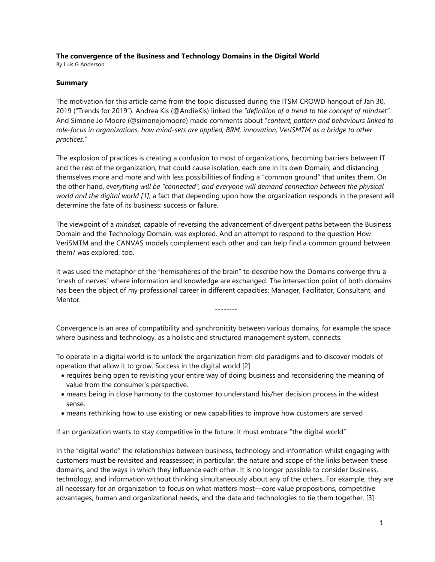## **The convergence of the Business and Technology Domains in the Digital World**

By Luis G Anderson

## **Summary**

The motivation for this article came from the topic discussed during the ITSM CROWD hangout of Jan 30, 2019 ("Trends for 2019"). Andrea Kis (@AndieKis) linked the *"definition of a trend to the concept of mindset".* And Simone Jo Moore (@simonejomoore) made comments about "*content, pattern and behaviours linked to role-focus in organizations, how mind-sets are applied, BRM, innovation, VeriSMTM as a bridge to other practices."*

The explosion of practices is creating a confusion to most of organizations, becoming barriers between IT and the rest of the organization; that could cause isolation, each one in its own Domain, and distancing themselves more and more and with less possibilities of finding a "common ground" that unites them. On the other hand, *everything will be "connected", and everyone will demand connection between the physical world and the digital world [1];* a fact that depending upon how the organization responds in the present will determine the fate of its business: success or failure.

The viewpoint of a *mindset*, capable of reversing the advancement of divergent paths between the Business Domain and the Technology Domain, was explored. And an attempt to respond to the question How VeriSMTM and the CANVAS models complement each other and can help find a common ground between them? was explored, too.

It was used the metaphor of the "hemispheres of the brain" to describe how the Domains converge thru a "mesh of nerves" where information and knowledge are exchanged. The intersection point of both domains has been the object of my professional career in different capacities: Manager, Facilitator, Consultant, and Mentor.

--------

Convergence is an area of compatibility and synchronicity between various domains, for example the space where business and technology, as a holistic and structured management system, connects.

To operate in a digital world is to unlock the organization from old paradigms and to discover models of operation that allow it to grow. Success in the digital world [2]

- requires being open to revisiting your entire way of doing business and reconsidering the meaning of value from the consumer's perspective.
- means being in close harmony to the customer to understand his/her decision process in the widest sense.
- means rethinking how to use existing or new capabilities to improve how customers are served

If an organization wants to stay competitive in the future, it must embrace "the digital world".

In the "digital world" the relationships between business, technology and information whilst engaging with customers must be revisited and reassessed; in particular, the nature and scope of the links between these domains, and the ways in which they influence each other. It is no longer possible to consider business, technology, and information without thinking simultaneously about any of the others. For example, they are all necessary for an organization to focus on what matters most—core value propositions, competitive advantages, human and organizational needs, and the data and technologies to tie them together. [3]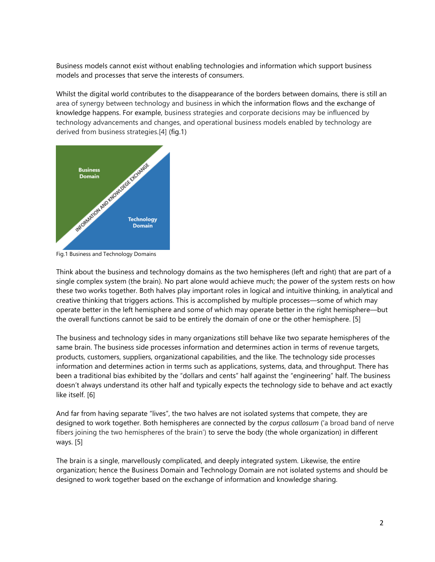Business models cannot exist without enabling technologies and information which support business models and processes that serve the interests of consumers.

Whilst the digital world contributes to the disappearance of the borders between domains, there is still an area of synergy between technology and business in which the information flows and the exchange of knowledge happens. For example, business strategies and corporate decisions may be influenced by technology advancements and changes, and operational business models enabled by technology are derived from business strategies.[4] (fig.1)



Fig.1 Business and Technology Domains

Think about the business and technology domains as the two hemispheres (left and right) that are part of a single complex system (the brain). No part alone would achieve much; the power of the system rests on how these two works together. Both halves play important roles in logical and intuitive thinking, in analytical and creative thinking that triggers actions. This is accomplished by multiple processes—some of which may operate better in the left hemisphere and some of which may operate better in the right hemisphere—but the overall functions cannot be said to be entirely the domain of one or the other hemisphere. [5]

The business and technology sides in many organizations still behave like two separate hemispheres of the same brain. The business side processes information and determines action in terms of revenue targets, products, customers, suppliers, organizational capabilities, and the like. The technology side processes information and determines action in terms such as applications, systems, data, and throughput. There has been a traditional bias exhibited by the "dollars and cents" half against the "engineering" half. The business doesn't always understand its other half and typically expects the technology side to behave and act exactly like itself. [6]

And far from having separate "lives", the two halves are not isolated systems that compete, they are designed to work together. Both hemispheres are connected by the *corpus callosum* ('a broad band of nerve fibers joining the two hemispheres of the brain') to serve the body (the whole organization) in different ways. [5]

The brain is a single, marvellously complicated, and deeply integrated system. Likewise, the entire organization; hence the Business Domain and Technology Domain are not isolated systems and should be designed to work together based on the exchange of information and knowledge sharing.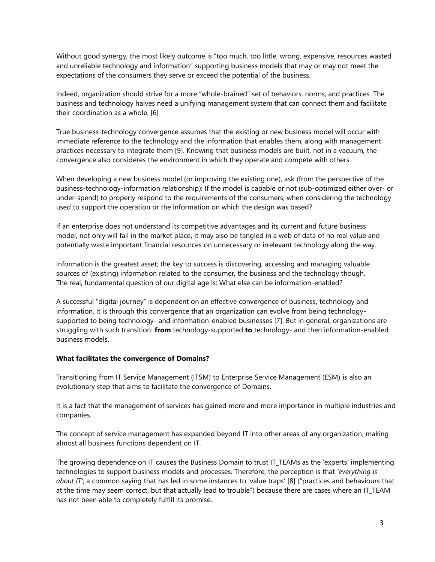Without good synergy, the most likely outcome is "too much, too little, wrong, expensive, resources wasted and unreliable technology and information" supporting business models that may or may not meet the expectations of the consumers they serve or exceed the potential of the business.

Indeed, organization should strive for a more "whole-brained" set of behaviors, norms, and practices. The business and technology halves need a unifying management system that can connect them and facilitate their coordination as a whole. [6]

True business-technology convergence assumes that the existing or new business model will occur with immediate reference to the technology and the information that enables them, along with management practices necessary to integrate them [9]. Knowing that business models are built, not in a vacuum, the convergence also consideres the environment in which they operate and compete with others.

When developing a new business model (or improving the existing one), ask (from the perspective of the business-technology-information relationship): If the model is capable or not (sub-optimized either over- or under-spend) to properly respond to the requirements of the consumers, when considering the technology used to support the operation or the information on which the design was based?

If an enterprise does not understand its competitive advantages and its current and future business model, not only will fail in the market place, it may also be tangled in a web of data of no real value and potentially waste important financial resources on unnecessary or irrelevant technology along the way.

Information is the greatest asset; the key to success is discovering, accessing and managing valuable sources of (existing) information related to the consumer, the business and the technology though. The real, fundamental question of our digital age is: What else can be information-enabled?

A successful "digital journey" is dependent on an effective convergence of business, technology and information. It is through this convergence that an organization can evolve from being technologysupported to being technology- and information-enabled businesses [7]. But in general, organizations are struggling with such transition: **from** technology-supported **to** technology- and then information-enabled business models.

## **What facilitates the convergence of Domains?**

Transitioning from IT Service Management (ITSM) to Enterprise Service Management (ESM) is also an evolutionary step that aims to facilitate the convergence of Domains.

It is a fact that the management of services has gained more and more importance in multiple industries and companies.

The concept of service management has expanded beyond IT into other areas of any organization, making almost all business functions dependent on IT.

The growing dependence on IT causes the Business Domain to trust IT TEAMs as the 'experts' implementing technologies to support business models and processes. Therefore, the perception is that *'everything is about IT'*; a common saying that has led in some instances to 'value traps' [8] ("practices and behaviours that at the time may seem correct, but that actually lead to trouble") because there are cases where an IT\_TEAM has not been able to completely fulfill its promise.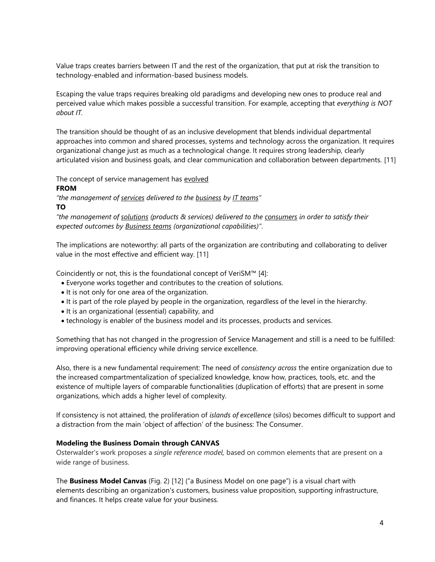Value traps creates barriers between IT and the rest of the organization, that put at risk the transition to technology-enabled and information-based business models.

Escaping the value traps requires breaking old paradigms and developing new ones to produce real and perceived value which makes possible a successful transition. For example, accepting that *everything is NOT about IT.*

The transition should be thought of as an inclusive development that blends individual departmental approaches into common and shared processes, systems and technology across the organization. It requires organizational change just as much as a technological change. It requires strong leadership, clearly articulated vision and business goals, and clear communication and collaboration between departments. [11]

The concept of service management has evolved

**FROM**

*"the management of services delivered to the business by IT teams"*

**TO**

*"the management of solutions (products & services) delivered to the consumers in order to satisfy their expected outcomes by Business teams (organizational capabilities)"*.

The implications are noteworthy: all parts of the organization are contributing and collaborating to deliver value in the most effective and efficient way. [11]

Coincidently or not, this is the foundational concept of VeriSM™ [4]:

- Everyone works together and contributes to the creation of solutions.
- It is not only for one area of the organization.
- It is part of the role played by people in the organization, regardless of the level in the hierarchy.
- It is an organizational (essential) capability, and
- technology is enabler of the business model and its processes, products and services.

Something that has not changed in the progression of Service Management and still is a need to be fulfilled: improving operational efficiency while driving service excellence.

Also, there is a new fundamental requirement: The need of *consistency across* the entire organization due to the increased compartmentalization of specialized knowledge, know how, practices, tools, etc. and the existence of multiple layers of comparable functionalities (duplication of efforts) that are present in some organizations, which adds a higher level of complexity.

If consistency is not attained, the proliferation of *islands of excellence* (silos) becomes difficult to support and a distraction from the main 'object of affection' of the business: The Consumer.

## **Modeling the Business Domain through CANVAS**

Osterwalder's work proposes a *single reference model,* based on common elements that are present on a wide range of business.

The **Business Model Canvas** (Fig. 2) [12] ("a Business Model on one page") is a visual chart with elements describing an organization's customers, business value proposition, supporting infrastructure, and finances. It helps create value for your business.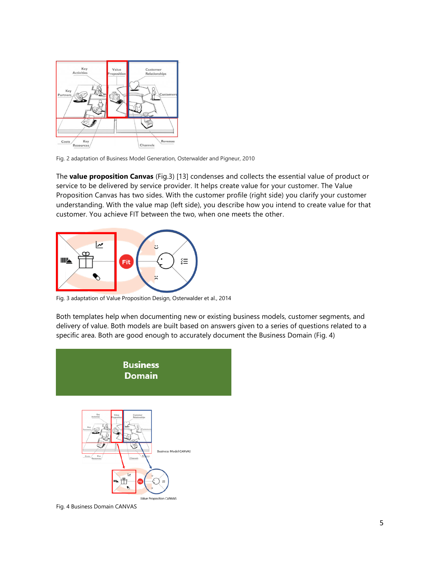

Fig. 2 adaptation of Business Model Generation, Osterwalder and Pigneur, 2010

The **value proposition Canvas** (Fig.3) [13] condenses and collects the essential value of product or service to be delivered by service provider. It helps create value for your customer. The Value Proposition Canvas has two sides. With the customer profile (right side) you clarify your customer understanding. With the value map (left side), you describe how you intend to create value for that customer. You achieve FIT between the two, when one meets the other.



Fig. 3 adaptation of Value Proposition Design, Osterwalder et al., 2014

Both templates help when documenting new or existing business models, customer segments, and delivery of value. Both models are built based on answers given to a series of questions related to a specific area. Both are good enough to accurately document the Business Domain (Fig. 4)





Fig. 4 Business Domain CANVAS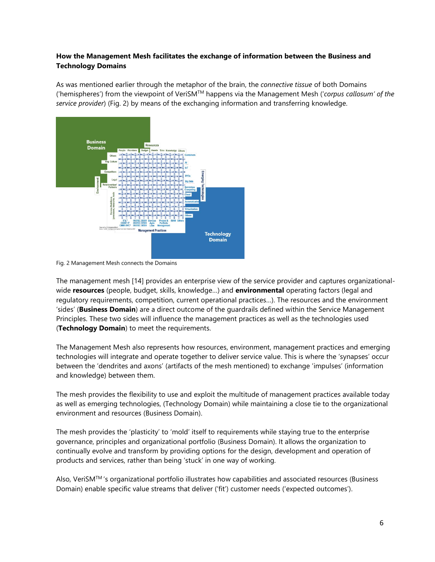## **How the Management Mesh facilitates the exchange of information between the Business and Technology Domains**

As was mentioned earlier through the metaphor of the brain, the *connective tissue* of both Domains ('hemispheres') from the viewpoint of VeriSMTM happens via the Management Mesh ('*corpus callosum' of the service provider*) (Fig. 2) by means of the exchanging information and transferring knowledge.



Fig. 2 Management Mesh connects the Domains

The management mesh [14] provides an enterprise view of the service provider and captures organizationalwide **resources** (people, budget, skills, knowledge…) and **environmental** operating factors (legal and regulatory requirements, competition, current operational practices…). The resources and the environment 'sides' (**Business Domain**) are a direct outcome of the guardrails defined within the Service Management Principles. These two sides will influence the management practices as well as the technologies used (**Technology Domain**) to meet the requirements.

The Management Mesh also represents how resources, environment, management practices and emerging technologies will integrate and operate together to deliver service value. This is where the 'synapses' occur between the 'dendrites and axons' (artifacts of the mesh mentioned) to exchange 'impulses' (information and knowledge) between them.

The mesh provides the flexibility to use and exploit the multitude of management practices available today as well as emerging technologies, (Technology Domain) while maintaining a close tie to the organizational environment and resources (Business Domain).

The mesh provides the 'plasticity' to 'mold' itself to requirements while staying true to the enterprise governance, principles and organizational portfolio (Business Domain). It allows the organization to continually evolve and transform by providing options for the design, development and operation of products and services, rather than being 'stuck' in one way of working.

Also, VeriSMTM 's organizational portfolio illustrates how capabilities and associated resources (Business Domain) enable specific value streams that deliver ('fit') customer needs ('expected outcomes').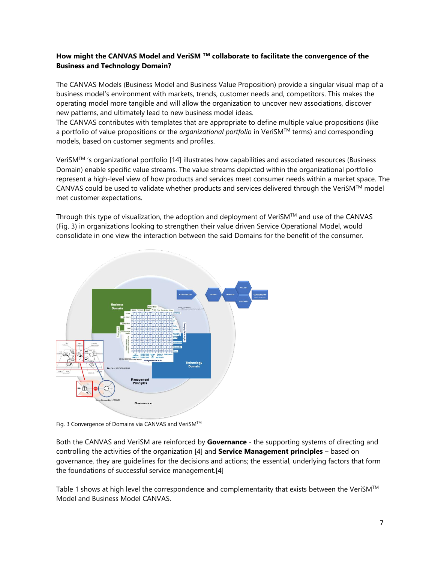# **How might the CANVAS Model and VeriSM TM collaborate to facilitate the convergence of the Business and Technology Domain?**

The CANVAS Models (Business Model and Business Value Proposition) provide a singular visual map of a business model's environment with markets, trends, customer needs and, competitors. This makes the operating model more tangible and will allow the organization to uncover new associations, discover new patterns, and ultimately lead to new business model ideas.

The CANVAS contributes with templates that are appropriate to define multiple value propositions (like a portfolio of value propositions or the *organizational portfolio* in VeriSMTM terms) and corresponding models, based on customer segments and profiles.

VeriSMTM 's organizational portfolio [14] illustrates how capabilities and associated resources (Business Domain) enable specific value streams. The value streams depicted within the organizational portfolio represent a high-level view of how products and services meet consumer needs within a market space. The CANVAS could be used to validate whether products and services delivered through the VeriSM<sup>TM</sup> model met customer expectations.

Through this type of visualization, the adoption and deployment of VeriSM $^{TM}$  and use of the CANVAS (Fig. 3) in organizations looking to strengthen their value driven Service Operational Model, would consolidate in one view the interaction between the said Domains for the benefit of the consumer.



Fig. 3 Convergence of Domains via CANVAS and VeriSM™

Both the CANVAS and VeriSM are reinforced by **Governance** - the supporting systems of directing and controlling the activities of the organization [4] and **Service Management principles** – based on governance, they are guidelines for the decisions and actions; the essential, underlying factors that form the foundations of successful service management.[4]

Table 1 shows at high level the correspondence and complementarity that exists between the VeriSM<sup>TM</sup> Model and Business Model CANVAS.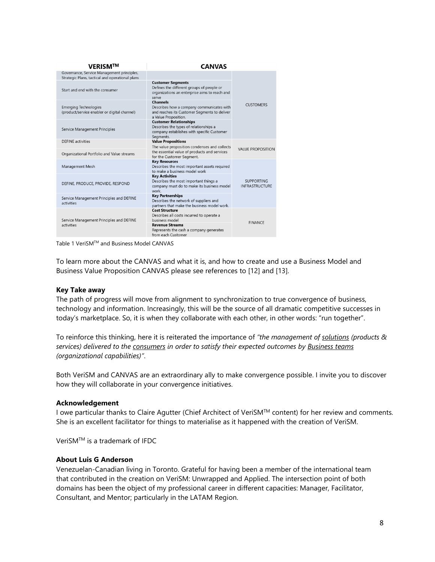| <b>VERISM™</b>                                                                                | <b>CANVAS</b>                                                                                                                                                                   |                                            |
|-----------------------------------------------------------------------------------------------|---------------------------------------------------------------------------------------------------------------------------------------------------------------------------------|--------------------------------------------|
| Governance, Service Management principles,<br>Strategic Plans, tactical and operational plans |                                                                                                                                                                                 |                                            |
| Start and end with the consumer                                                               | <b>Customer Segments</b><br>Defines the different groups of people or<br>organizations an enterprise aims to reach and<br>serve                                                 |                                            |
| <b>Emerging Technologies</b><br>(product/service enabler or digital channel)                  | <b>Channels</b><br>Describes how a company communicates with<br>and reaches its Customer Segments to deliver<br>a Value Proposition.                                            | <b>CUSTOMERS</b>                           |
| Service Management Principles                                                                 | <b>Customer Relationships</b><br>Describes the types of relationships a<br>company establishes with specific Customer<br>Segments.                                              |                                            |
| <b>DEFINE</b> activities                                                                      | <b>Value Propositions</b><br>The value proposition condenses and collects                                                                                                       |                                            |
| Organizational Portfolio and Value streams                                                    | the essential value of products and services<br>for the Customer Segment.                                                                                                       | <b>VALUE PROPOSITION</b>                   |
| Management Mesh                                                                               | <b>Key Resources</b><br>Describes the most important assets required<br>to make a business model work                                                                           |                                            |
| DEFINE, PRODUCE, PROVIDE, RESPOND                                                             | <b>Key Activities</b><br>Describes the most important things a<br>company must do to make its business model<br>work.                                                           | <b>SUPPORTING</b><br><b>INFRASTRUCTURE</b> |
| Service Management Principles and DEFINE<br>activities                                        | <b>Key Partnerships</b><br>Describes the network of suppliers and<br>partners that make the business model work.                                                                |                                            |
| Service Management Principles and DEFINE<br>activities                                        | <b>Cost Structure</b><br>Describes all costs incurred to operate a<br>business model<br><b>Revenue Streams</b><br>Represents the cash a company generates<br>from each Customer | <b>FINANCE</b>                             |
|                                                                                               |                                                                                                                                                                                 |                                            |

Table 1 VeriSM™ and Business Model CANVAS

To learn more about the CANVAS and what it is, and how to create and use a Business Model and Business Value Proposition CANVAS please see references to [12] and [13].

### **Key Take away**

The path of progress will move from alignment to synchronization to true convergence of business, technology and information. Increasingly, this will be the source of all dramatic competitive successes in today's marketplace. So, it is when they collaborate with each other, in other words: "run together".

To reinforce this thinking, here it is reiterated the importance of *"the management of solutions (products & services) delivered to the consumers in order to satisfy their expected outcomes by Business teams (organizational capabilities)"*.

Both VeriSM and CANVAS are an extraordinary ally to make convergence possible. I invite you to discover how they will collaborate in your convergence initiatives.

### **Acknowledgement**

I owe particular thanks to Claire Agutter (Chief Architect of VeriSM™ content) for her review and comments. She is an excellent facilitator for things to materialise as it happened with the creation of VeriSM.

VeriSMTM is a trademark of IFDC

#### **About Luis G Anderson**

Venezuelan-Canadian living in Toronto. Grateful for having been a member of the international team that contributed in the creation on VeriSM: Unwrapped and Applied. The intersection point of both domains has been the object of my professional career in different capacities: Manager, Facilitator, Consultant, and Mentor; particularly in the LATAM Region.